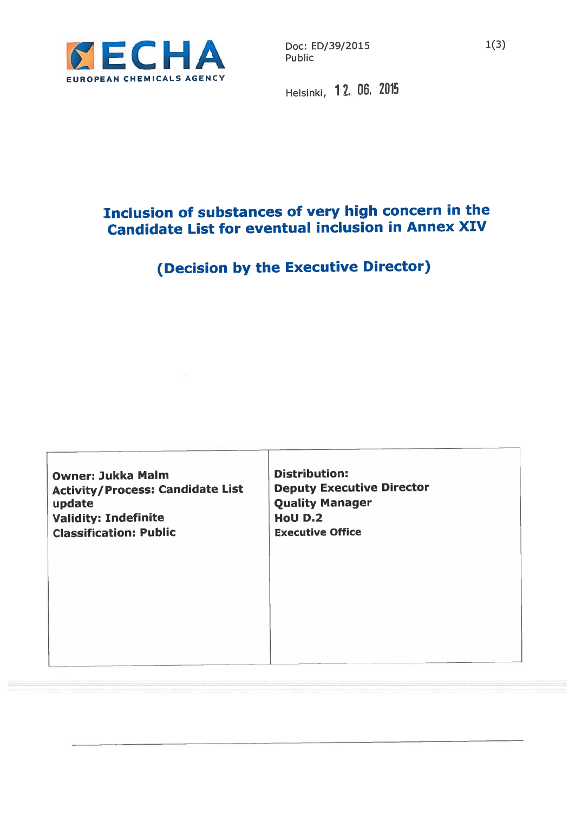

Helsinki, 12., 06, 2075

## Inclusion of substances of very high concern in the Candidate List for eventual inclusion in Annex XIV

# (Decision by the Executive Director)

| <b>Validity: Indefinite</b><br><b>HoU D.2</b><br><b>Classification: Public</b><br><b>Executive Office</b> |
|-----------------------------------------------------------------------------------------------------------|
|-----------------------------------------------------------------------------------------------------------|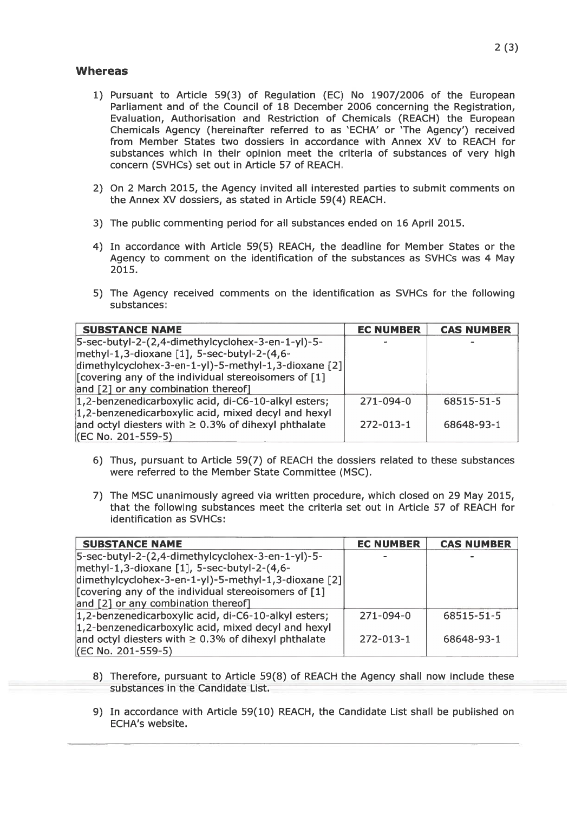#### **Whereas**

- 1) Pursuant to Article 59(3) of Regulation (EC) No 1907/2006 of the European Parliament and of the Council of 18 December 2006 concerning the Registration, Evaluation, Authorisation and Restriction of Chemicals (REACH) the European Chemicals Agency (hereinafter referred to as 'ECHA' or 'The Agency') received from Member States two dossiers in accordance with Annex XV to REACH for substances which in their opinion meet the criteria of substances of very high concern (SVHCs) set out in Article 57 of REACH.
- 2) On 2 March 2015, the Agency invited all interested parties to submit comments on the Annex XV dossiers, as stated in Article 59(4) REACH.
- 3) The public commenting period for all substances ended on 16 April 2015.
- 4) In accordance with Article 59(5) REACH, the deadline for Member States or the Agency to comment on the identification of the substances as SVHCs was 4 May 2015.
- 5) The Agency received comments on the identification as SVHCs for the following substances:

| <b>SUBSTANCE NAME</b>                                    | <b>EC NUMBER</b> | <b>CAS NUMBER</b> |
|----------------------------------------------------------|------------------|-------------------|
| 5-sec-butyl-2-(2,4-dimethylcyclohex-3-en-1-yl)-5-        |                  |                   |
| methyl-1,3-dioxane [1], 5-sec-butyl-2-(4,6-              |                  |                   |
| dimethylcyclohex-3-en-1-yl)-5-methyl-1,3-dioxane [2]     |                  |                   |
| [Covering any of the individual stereoisomers of [1]     |                  |                   |
| and [2] or any combination thereof]                      |                  |                   |
| 1,2-benzenedicarboxylic acid, di-C6-10-alkyl esters;     | $271 - 094 - 0$  | 68515-51-5        |
| 1,2-benzenedicarboxylic acid, mixed decyl and hexyl      |                  |                   |
| and octyl diesters with $\geq$ 0.3% of dihexyl phthalate | $272 - 013 - 1$  | 68648-93-1        |
| (EC No. 201-559-5)                                       |                  |                   |

- 6) Thus, pursuan<sup>t</sup> to Article 59(7) of REACH the dossiers related to these substances were referred to the Member State Committee (MSC).
- 7) The MSC unanimously agreed via written procedure, which closed on 29 May 2015, that the following substances meet the criteria set out in Article 57 of REACH for identification as SVHCs:

| <b>SUBSTANCE NAME</b>                                    | <b>EC NUMBER</b> | <b>CAS NUMBER</b> |
|----------------------------------------------------------|------------------|-------------------|
| 5-sec-butyl-2-(2,4-dimethylcyclohex-3-en-1-yl)-5-        |                  |                   |
| methyl-1,3-dioxane [1], 5-sec-butyl-2-(4,6-              |                  |                   |
| dimethylcyclohex-3-en-1-yl)-5-methyl-1,3-dioxane [2]     |                  |                   |
| [Covering any of the individual stereoisomers of [1]     |                  |                   |
| and [2] or any combination thereof]                      |                  |                   |
| 1,2-benzenedicarboxylic acid, di-C6-10-alkyl esters;     | $271 - 094 - 0$  | 68515-51-5        |
| $ 1,2$ -benzenedicarboxylic acid, mixed decyl and hexyl  |                  |                   |
| and octyl diesters with $\geq$ 0.3% of dihexyl phthalate | $272 - 013 - 1$  | 68648-93-1        |
| (EC No. 201-559-5)                                       |                  |                   |

- 8) Therefore, pursuan<sup>t</sup> to Article 59(8) of REACH the Agency shall now include these substances in the Candidate List.
- 9) In accordance with Article 59(10) REACH, the Candidate List shall be published on ECHA's website.